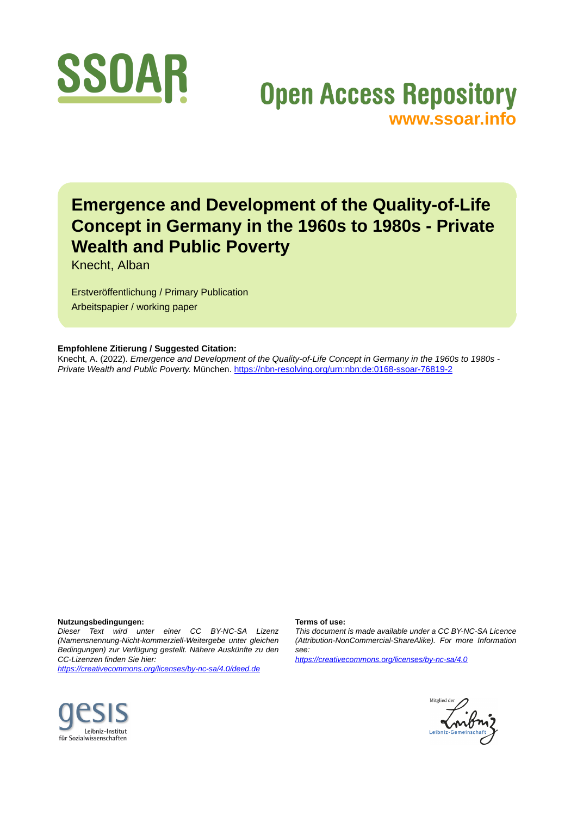

# **Open Access Repository [www.ssoar.info](http://www.ssoar.info)**

# **Emergence and Development of the Quality-of-Life Concept in Germany in the 1960s to 1980s - Private Wealth and Public Poverty**

Knecht, Alban

Erstveröffentlichung / Primary Publication Arbeitspapier / working paper

#### **Empfohlene Zitierung / Suggested Citation:**

Knecht, A. (2022). *Emergence and Development of the Quality-of-Life Concept in Germany in the 1960s to 1980s - Private Wealth and Public Poverty.* München. <https://nbn-resolving.org/urn:nbn:de:0168-ssoar-76819-2>

#### **Nutzungsbedingungen:**

*Dieser Text wird unter einer CC BY-NC-SA Lizenz (Namensnennung-Nicht-kommerziell-Weitergebe unter gleichen Bedingungen) zur Verfügung gestellt. Nähere Auskünfte zu den CC-Lizenzen finden Sie hier:*

*<https://creativecommons.org/licenses/by-nc-sa/4.0/deed.de>*

#### **Terms of use:**

*This document is made available under a CC BY-NC-SA Licence (Attribution-NonCommercial-ShareAlike). For more Information see:*

*<https://creativecommons.org/licenses/by-nc-sa/4.0>*



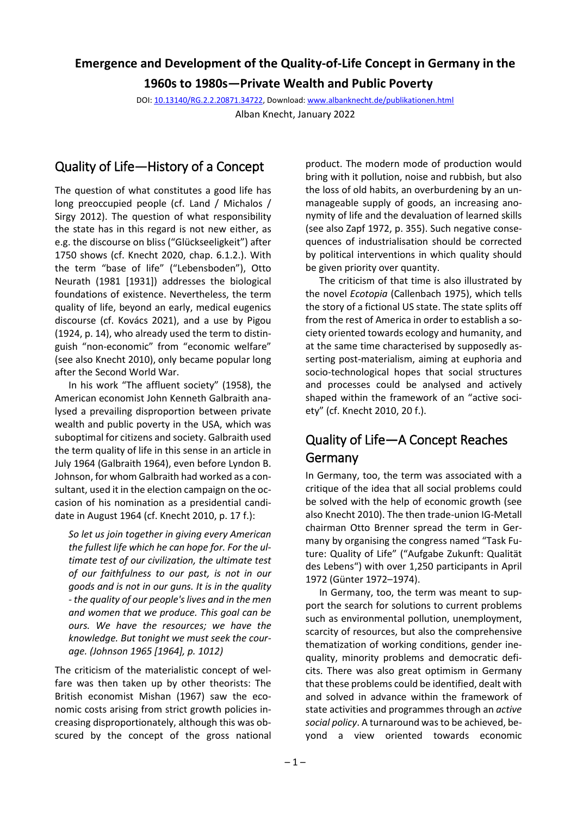# **Emergence and Development of the Quality-of-Life Concept in Germany in the**

**1960s to 1980s—Private Wealth and Public Poverty**

DOI[: 10.13140/RG.2.2.20871.34722,](https://doi.org/10.13140/RG.2.2.20871.34722) Download[: www.albanknecht.de/publikationen.html](http://www.albanknecht.de/publikationen.html) Alban Knecht, January 2022

## Quality of Life—History of a Concept

The question of what constitutes a good life has long preoccupied people (cf. Land / Michalos / Sirgy 2012). The question of what responsibility the state has in this regard is not new either, as e.g. the discourse on bliss ("Glückseeligkeit") after 1750 shows (cf. Knecht 2020, chap. 6.1.2.). With the term "base of life" ("Lebensboden"), Otto Neurath (1981 [1931]) addresses the biological foundations of existence. Nevertheless, the term quality of life, beyond an early, medical eugenics discourse (cf. Kovács 2021), and a use by Pigou (1924, p. 14), who already used the term to distinguish "non-economic" from "economic welfare" (see also Knecht 2010), only became popular long after the Second World War.

In his work "The affluent society" (1958), the American economist John Kenneth Galbraith analysed a prevailing disproportion between private wealth and public poverty in the USA, which was suboptimal for citizens and society. Galbraith used the term quality of life in this sense in an article in July 1964 (Galbraith 1964), even before Lyndon B. Johnson, for whom Galbraith had worked as a consultant, used it in the election campaign on the occasion of his nomination as a presidential candidate in August 1964 (cf. Knecht 2010, p. 17 f.):

*So let us join together in giving every American the fullest life which he can hope for. For the ultimate test of our civilization, the ultimate test of our faithfulness to our past, is not in our goods and is not in our guns. It is in the quality - the quality of our people's lives and in the men and women that we produce. This goal can be ours. We have the resources; we have the knowledge. But tonight we must seek the courage. (Johnson 1965 [1964], p. 1012)* 

The criticism of the materialistic concept of welfare was then taken up by other theorists: The British economist Mishan (1967) saw the economic costs arising from strict growth policies increasing disproportionately, although this was obscured by the concept of the gross national

product. The modern mode of production would bring with it pollution, noise and rubbish, but also the loss of old habits, an overburdening by an unmanageable supply of goods, an increasing anonymity of life and the devaluation of learned skills (see also Zapf 1972, p. 355). Such negative consequences of industrialisation should be corrected by political interventions in which quality should be given priority over quantity.

The criticism of that time is also illustrated by the novel *Ecotopia* (Callenbach 1975), which tells the story of a fictional US state. The state splits off from the rest of America in order to establish a society oriented towards ecology and humanity, and at the same time characterised by supposedly asserting post-materialism, aiming at euphoria and socio-technological hopes that social structures and processes could be analysed and actively shaped within the framework of an "active society" (cf. Knecht 2010, 20 f.).

## Quality of Life—A Concept Reaches Germany

In Germany, too, the term was associated with a critique of the idea that all social problems could be solved with the help of economic growth (see also Knecht 2010). The then trade-union IG-Metall chairman Otto Brenner spread the term in Germany by organising the congress named "Task Future: Quality of Life" ("Aufgabe Zukunft: Qualität des Lebens") with over 1,250 participants in April 1972 (Günter 1972–1974).

In Germany, too, the term was meant to support the search for solutions to current problems such as environmental pollution, unemployment, scarcity of resources, but also the comprehensive thematization of working conditions, gender inequality, minority problems and democratic deficits. There was also great optimism in Germany that these problems could be identified, dealt with and solved in advance within the framework of state activities and programmes through an *active social policy*. A turnaround was to be achieved, beyond a view oriented towards economic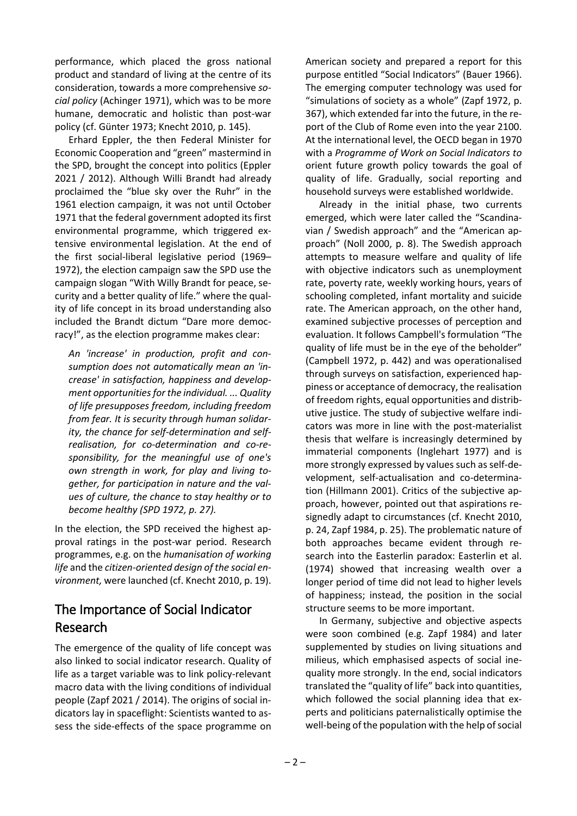performance, which placed the gross national product and standard of living at the centre of its consideration, towards a more comprehensive *social policy* (Achinger 1971), which was to be more humane, democratic and holistic than post-war policy (cf. Günter 1973; Knecht 2010, p. 145).

Erhard Eppler, the then Federal Minister for Economic Cooperation and "green" mastermind in the SPD, brought the concept into politics (Eppler 2021 / 2012). Although Willi Brandt had already proclaimed the "blue sky over the Ruhr" in the 1961 election campaign, it was not until October 1971 that the federal government adopted its first environmental programme, which triggered extensive environmental legislation. At the end of the first social-liberal legislative period (1969– 1972), the election campaign saw the SPD use the campaign slogan "With Willy Brandt for peace, security and a better quality of life." where the quality of life concept in its broad understanding also included the Brandt dictum "Dare more democracy!", as the election programme makes clear:

*An 'increase' in production, profit and consumption does not automatically mean an 'increase' in satisfaction, happiness and development opportunities for the individual. ... Quality of life presupposes freedom, including freedom from fear. It is security through human solidarity, the chance for self-determination and selfrealisation, for co-determination and co-responsibility, for the meaningful use of one's own strength in work, for play and living together, for participation in nature and the values of culture, the chance to stay healthy or to become healthy (SPD 1972, p. 27).*

In the election, the SPD received the highest approval ratings in the post-war period. Research programmes, e.g. on the *humanisation of working life* and the *citizen-oriented design of the social environment,* were launched (cf. Knecht 2010, p. 19).

#### The Importance of Social Indicator Research

The emergence of the quality of life concept was also linked to social indicator research. Quality of life as a target variable was to link policy-relevant macro data with the living conditions of individual people (Zapf 2021 / 2014). The origins of social indicators lay in spaceflight: Scientists wanted to assess the side-effects of the space programme on American society and prepared a report for this purpose entitled "Social Indicators" (Bauer 1966). The emerging computer technology was used for "simulations of society as a whole" (Zapf 1972, p. 367), which extended far into the future, in the report of the Club of Rome even into the year 2100. At the international level, the OECD began in 1970 with a *Programme of Work on Social Indicators to*  orient future growth policy towards the goal of quality of life. Gradually, social reporting and household surveys were established worldwide.

Already in the initial phase, two currents emerged, which were later called the "Scandinavian / Swedish approach" and the "American approach" (Noll 2000, p. 8). The Swedish approach attempts to measure welfare and quality of life with objective indicators such as unemployment rate, poverty rate, weekly working hours, years of schooling completed, infant mortality and suicide rate. The American approach, on the other hand, examined subjective processes of perception and evaluation. It follows Campbell's formulation "The quality of life must be in the eye of the beholder" (Campbell 1972, p. 442) and was operationalised through surveys on satisfaction, experienced happiness or acceptance of democracy, the realisation of freedom rights, equal opportunities and distributive justice. The study of subjective welfare indicators was more in line with the post-materialist thesis that welfare is increasingly determined by immaterial components (Inglehart 1977) and is more strongly expressed by values such as self-development, self-actualisation and co-determination (Hillmann 2001). Critics of the subjective approach, however, pointed out that aspirations resignedly adapt to circumstances (cf. Knecht 2010, p. 24, Zapf 1984, p. 25). The problematic nature of both approaches became evident through research into the Easterlin paradox: Easterlin et al. (1974) showed that increasing wealth over a longer period of time did not lead to higher levels of happiness; instead, the position in the social structure seems to be more important.

In Germany, subjective and objective aspects were soon combined (e.g. Zapf 1984) and later supplemented by studies on living situations and milieus, which emphasised aspects of social inequality more strongly. In the end, social indicators translated the "quality of life" back into quantities, which followed the social planning idea that experts and politicians paternalistically optimise the well-being of the population with the help of social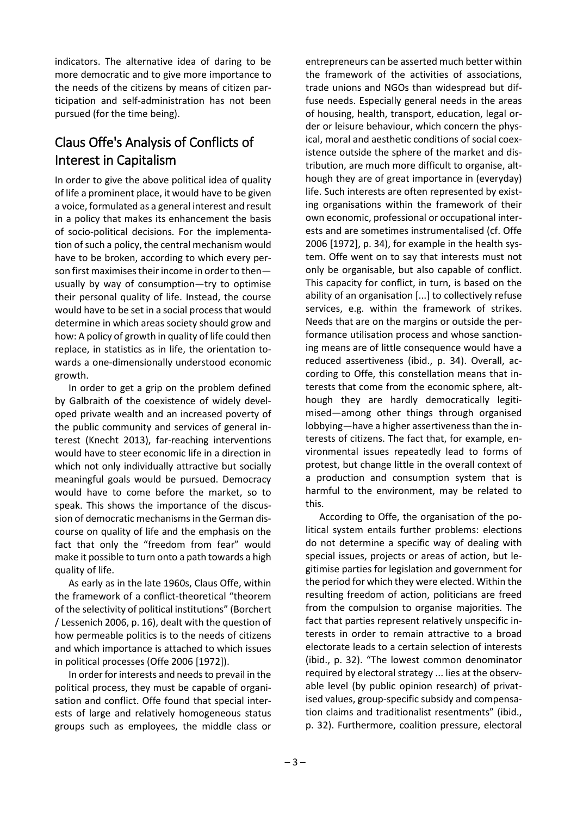indicators. The alternative idea of daring to be more democratic and to give more importance to the needs of the citizens by means of citizen participation and self-administration has not been pursued (for the time being).

## Claus Offe's Analysis of Conflicts of Interest in Capitalism

In order to give the above political idea of quality of life a prominent place, it would have to be given a voice, formulated as a general interest and result in a policy that makes its enhancement the basis of socio-political decisions. For the implementation of such a policy, the central mechanism would have to be broken, according to which every person first maximises their income in order to then usually by way of consumption—try to optimise their personal quality of life. Instead, the course would have to be set in a social process that would determine in which areas society should grow and how: A policy of growth in quality of life could then replace, in statistics as in life, the orientation towards a one-dimensionally understood economic growth.

In order to get a grip on the problem defined by Galbraith of the coexistence of widely developed private wealth and an increased poverty of the public community and services of general interest (Knecht 2013), far-reaching interventions would have to steer economic life in a direction in which not only individually attractive but socially meaningful goals would be pursued. Democracy would have to come before the market, so to speak. This shows the importance of the discussion of democratic mechanisms in the German discourse on quality of life and the emphasis on the fact that only the "freedom from fear" would make it possible to turn onto a path towards a high quality of life.

As early as in the late 1960s, Claus Offe, within the framework of a conflict-theoretical "theorem of the selectivity of political institutions" (Borchert / Lessenich 2006, p. 16), dealt with the question of how permeable politics is to the needs of citizens and which importance is attached to which issues in political processes (Offe 2006 [1972]).

In order for interests and needs to prevail in the political process, they must be capable of organisation and conflict. Offe found that special interests of large and relatively homogeneous status groups such as employees, the middle class or

entrepreneurs can be asserted much better within the framework of the activities of associations, trade unions and NGOs than widespread but diffuse needs. Especially general needs in the areas of housing, health, transport, education, legal order or leisure behaviour, which concern the physical, moral and aesthetic conditions of social coexistence outside the sphere of the market and distribution, are much more difficult to organise, although they are of great importance in (everyday) life. Such interests are often represented by existing organisations within the framework of their own economic, professional or occupational interests and are sometimes instrumentalised (cf. Offe 2006 [1972], p. 34), for example in the health system. Offe went on to say that interests must not only be organisable, but also capable of conflict. This capacity for conflict, in turn, is based on the ability of an organisation [...] to collectively refuse services, e.g. within the framework of strikes. Needs that are on the margins or outside the performance utilisation process and whose sanctioning means are of little consequence would have a reduced assertiveness (ibid., p. 34). Overall, according to Offe, this constellation means that interests that come from the economic sphere, although they are hardly democratically legitimised—among other things through organised lobbying—have a higher assertiveness than the interests of citizens. The fact that, for example, environmental issues repeatedly lead to forms of protest, but change little in the overall context of a production and consumption system that is harmful to the environment, may be related to this.

According to Offe, the organisation of the political system entails further problems: elections do not determine a specific way of dealing with special issues, projects or areas of action, but legitimise parties for legislation and government for the period for which they were elected. Within the resulting freedom of action, politicians are freed from the compulsion to organise majorities. The fact that parties represent relatively unspecific interests in order to remain attractive to a broad electorate leads to a certain selection of interests (ibid., p. 32). "The lowest common denominator required by electoral strategy ... lies at the observable level (by public opinion research) of privatised values, group-specific subsidy and compensation claims and traditionalist resentments" (ibid., p. 32). Furthermore, coalition pressure, electoral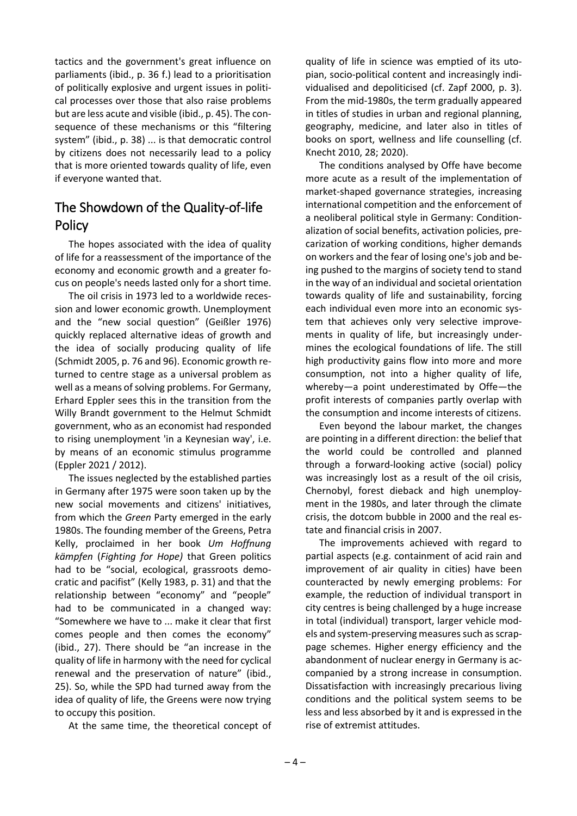tactics and the government's great influence on parliaments (ibid., p. 36 f.) lead to a prioritisation of politically explosive and urgent issues in political processes over those that also raise problems but are less acute and visible (ibid., p. 45). The consequence of these mechanisms or this "filtering system" (ibid., p. 38) ... is that democratic control by citizens does not necessarily lead to a policy that is more oriented towards quality of life, even if everyone wanted that.

### The Showdown of the Quality-of-life **Policy**

The hopes associated with the idea of quality of life for a reassessment of the importance of the economy and economic growth and a greater focus on people's needs lasted only for a short time.

The oil crisis in 1973 led to a worldwide recession and lower economic growth. Unemployment and the "new social question" (Geißler 1976) quickly replaced alternative ideas of growth and the idea of socially producing quality of life (Schmidt 2005, p. 76 and 96). Economic growth returned to centre stage as a universal problem as well as a means of solving problems. For Germany, Erhard Eppler sees this in the transition from the Willy Brandt government to the Helmut Schmidt government, who as an economist had responded to rising unemployment 'in a Keynesian way', i.e. by means of an economic stimulus programme (Eppler 2021 / 2012).

The issues neglected by the established parties in Germany after 1975 were soon taken up by the new social movements and citizens' initiatives, from which the *Green* Party emerged in the early 1980s. The founding member of the Greens, Petra Kelly, proclaimed in her book *Um Hoffnung kämpfen* (*Fighting for Hope)* that Green politics had to be "social, ecological, grassroots democratic and pacifist" (Kelly 1983, p. 31) and that the relationship between "economy" and "people" had to be communicated in a changed way: "Somewhere we have to ... make it clear that first comes people and then comes the economy" (ibid., 27). There should be "an increase in the quality of life in harmony with the need for cyclical renewal and the preservation of nature" (ibid., 25). So, while the SPD had turned away from the idea of quality of life, the Greens were now trying to occupy this position.

At the same time, the theoretical concept of

quality of life in science was emptied of its utopian, socio-political content and increasingly individualised and depoliticised (cf. Zapf 2000, p. 3). From the mid-1980s, the term gradually appeared in titles of studies in urban and regional planning, geography, medicine, and later also in titles of books on sport, wellness and life counselling (cf. Knecht 2010, 28; 2020).

The conditions analysed by Offe have become more acute as a result of the implementation of market-shaped governance strategies, increasing international competition and the enforcement of a neoliberal political style in Germany: Conditionalization of social benefits, activation policies, precarization of working conditions, higher demands on workers and the fear of losing one's job and being pushed to the margins of society tend to stand in the way of an individual and societal orientation towards quality of life and sustainability, forcing each individual even more into an economic system that achieves only very selective improvements in quality of life, but increasingly undermines the ecological foundations of life. The still high productivity gains flow into more and more consumption, not into a higher quality of life, whereby—a point underestimated by Offe—the profit interests of companies partly overlap with the consumption and income interests of citizens.

Even beyond the labour market, the changes are pointing in a different direction: the belief that the world could be controlled and planned through a forward-looking active (social) policy was increasingly lost as a result of the oil crisis, Chernobyl, forest dieback and high unemployment in the 1980s, and later through the climate crisis, the dotcom bubble in 2000 and the real estate and financial crisis in 2007.

The improvements achieved with regard to partial aspects (e.g. containment of acid rain and improvement of air quality in cities) have been counteracted by newly emerging problems: For example, the reduction of individual transport in city centres is being challenged by a huge increase in total (individual) transport, larger vehicle models and system-preserving measures such as scrappage schemes. Higher energy efficiency and the abandonment of nuclear energy in Germany is accompanied by a strong increase in consumption. Dissatisfaction with increasingly precarious living conditions and the political system seems to be less and less absorbed by it and is expressed in the rise of extremist attitudes.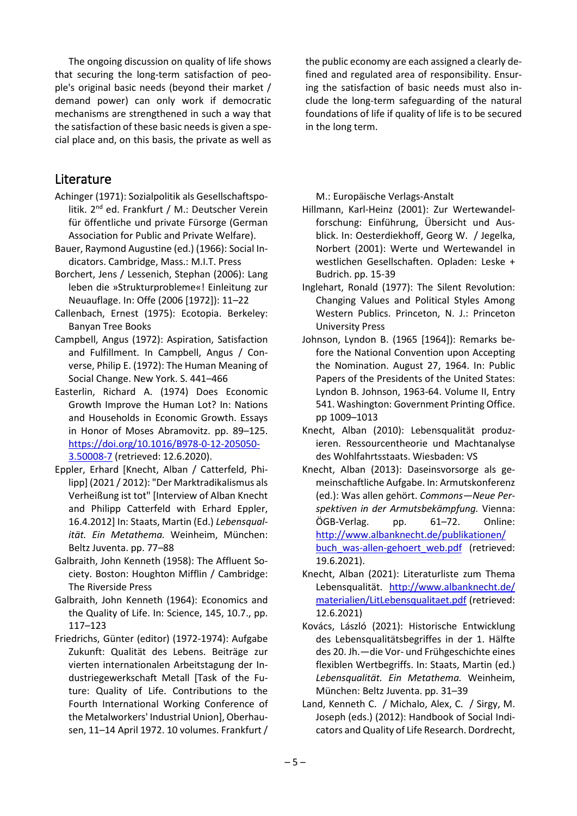The ongoing discussion on quality of life shows that securing the long-term satisfaction of people's original basic needs (beyond their market / demand power) can only work if democratic mechanisms are strengthened in such a way that the satisfaction of these basic needs is given a special place and, on this basis, the private as well as

#### Literature

- Achinger (1971): Sozialpolitik als Gesellschaftspolitik. 2nd ed. Frankfurt / M.: Deutscher Verein für öffentliche und private Fürsorge (German Association for Public and Private Welfare).
- Bauer, Raymond Augustine (ed.) (1966): Social Indicators. Cambridge, Mass.: M.I.T. Press
- Borchert, Jens / Lessenich, Stephan (2006): Lang leben die »Strukturprobleme«! Einleitung zur Neuauflage. In: Offe (2006 [1972]): 11–22
- Callenbach, Ernest (1975): Ecotopia. Berkeley: Banyan Tree Books
- Campbell, Angus (1972): Aspiration, Satisfaction and Fulfillment. In Campbell, Angus / Converse, Philip E. (1972): The Human Meaning of Social Change. New York. S. 441–466
- Easterlin, Richard A. (1974) Does Economic Growth Improve the Human Lot? In: Nations and Households in Economic Growth. Essays in Honor of Moses Abramovitz. pp. 89–125. [https://doi.org/10.1016/B978-0-12-205050-](https://doi.org/10.1016/B978-0-12-205050-3.50008-7) [3.50008-7](https://doi.org/10.1016/B978-0-12-205050-3.50008-7) (retrieved: 12.6.2020).
- Eppler, Erhard [Knecht, Alban / Catterfeld, Philipp] (2021 / 2012): "Der Marktradikalismus als Verheißung ist tot" [Interview of Alban Knecht and Philipp Catterfeld with Erhard Eppler, 16.4.2012] In: Staats, Martin (Ed.) *Lebensqualität. Ein Metathema.* Weinheim, München: Beltz Juventa. pp. 77–88
- Galbraith, John Kenneth (1958): The Affluent Society. Boston: Houghton Mifflin / Cambridge: The Riverside Press
- Galbraith, John Kenneth (1964): Economics and the Quality of Life. In: Science, 145, 10.7., pp. 117–123
- Friedrichs, Günter (editor) (1972-1974): Aufgabe Zukunft: Qualität des Lebens. Beiträge zur vierten internationalen Arbeitstagung der Industriegewerkschaft Metall [Task of the Future: Quality of Life. Contributions to the Fourth International Working Conference of the Metalworkers' Industrial Union], Oberhausen, 11–14 April 1972. 10 volumes. Frankfurt /

the public economy are each assigned a clearly defined and regulated area of responsibility. Ensuring the satisfaction of basic needs must also include the long-term safeguarding of the natural foundations of life if quality of life is to be secured in the long term.

M.: Europäische Verlags-Anstalt

- Hillmann, Karl-Heinz (2001): Zur Wertewandelforschung: Einführung, Übersicht und Ausblick. In: Oesterdiekhoff, Georg W. / Jegelka, Norbert (2001): Werte und Wertewandel in westlichen Gesellschaften. Opladen: Leske + Budrich. pp. 15-39
- Inglehart, Ronald (1977): The Silent Revolution: Changing Values and Political Styles Among Western Publics. Princeton, N. J.: Princeton University Press
- Johnson, Lyndon B. (1965 [1964]): Remarks before the National Convention upon Accepting the Nomination. August 27, 1964. In: Public Papers of the Presidents of the United States: Lyndon B. Johnson, 1963-64. Volume II, Entry 541. Washington: Government Printing Office. pp 1009–1013
- Knecht, Alban (2010): Lebensqualität produzieren. Ressourcentheorie und Machtanalyse des Wohlfahrtsstaats. Wiesbaden: VS
- Knecht, Alban (2013): Daseinsvorsorge als gemeinschaftliche Aufgabe. In: Armutskonferenz (ed.): Was allen gehört. *Commons—Neue Perspektiven in der Armutsbekämpfung.* Vienna: ÖGB-Verlag. pp. 61–72. Online: [http://www.albanknecht.de/publikationen/](http://www.albanknecht.de/publikationen/buch_was-allen-gehoert_web.pdf)  [buch\\_was-allen-gehoert\\_web.pdf](http://www.albanknecht.de/publikationen/buch_was-allen-gehoert_web.pdf) (retrieved: 19.6.2021).
- Knecht, Alban (2021): Literaturliste zum Thema Lebensqualität. [http://www.albanknecht.de/](http://www.albanknecht.de/materialien/LitLebensqualitaet.pdf)  [materialien/LitLebensqualitaet.pdf](http://www.albanknecht.de/materialien/LitLebensqualitaet.pdf) (retrieved: 12.6.2021)
- Kovács, László (2021): Historische Entwicklung des Lebensqualitätsbegriffes in der 1. Hälfte des 20. Jh.—die Vor- und Frühgeschichte eines flexiblen Wertbegriffs. In: Staats, Martin (ed.) *Lebensqualität. Ein Metathema.* Weinheim, München: Beltz Juventa. pp. 31–39
- Land, Kenneth C. / Michalo, Alex, C. / Sirgy, M. Joseph (eds.) (2012): Handbook of Social Indicators and Quality of Life Research. Dordrecht,